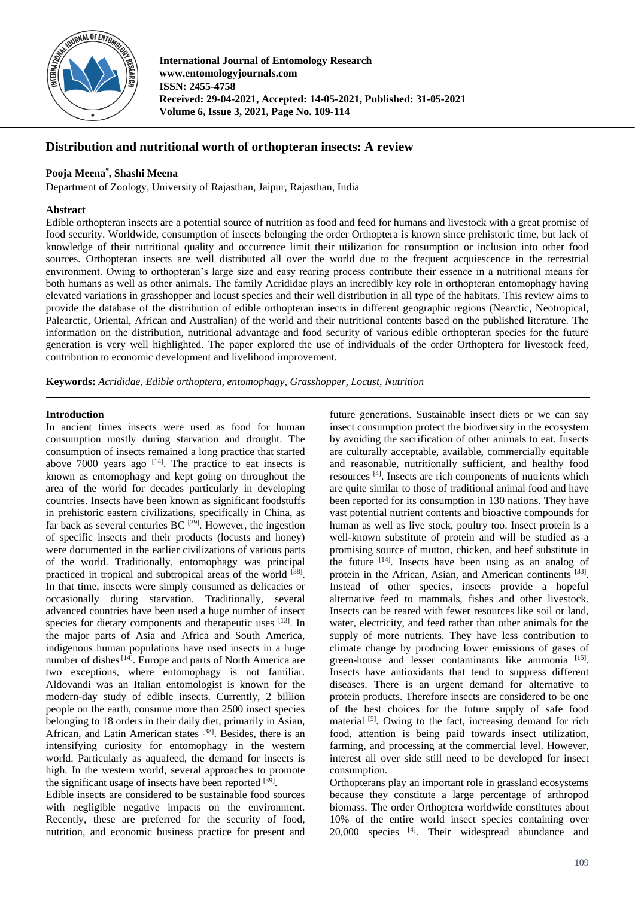

**International Journal of Entomology Research www.entomologyjournals.com ISSN: 2455-4758 Received: 29-04-2021, Accepted: 14-05-2021, Published: 31-05-2021 Volume 6, Issue 3, 2021, Page No. 109-114**

# **Distribution and nutritional worth of orthopteran insects: A review**

## **Pooja Meena\* , Shashi Meena**

Department of Zoology, University of Rajasthan, Jaipur, Rajasthan, India

### **Abstract**

Edible orthopteran insects are a potential source of nutrition as food and feed for humans and livestock with a great promise of food security. Worldwide, consumption of insects belonging the order Orthoptera is known since prehistoric time, but lack of knowledge of their nutritional quality and occurrence limit their utilization for consumption or inclusion into other food sources. Orthopteran insects are well distributed all over the world due to the frequent acquiescence in the terrestrial environment. Owing to orthopteran's large size and easy rearing process contribute their essence in a nutritional means for both humans as well as other animals. The family Acrididae plays an incredibly key role in orthopteran entomophagy having elevated variations in grasshopper and locust species and their well distribution in all type of the habitats. This review aims to provide the database of the distribution of edible orthopteran insects in different geographic regions (Nearctic, Neotropical, Palearctic, Oriental, African and Australian) of the world and their nutritional contents based on the published literature. The information on the distribution, nutritional advantage and food security of various edible orthopteran species for the future generation is very well highlighted. The paper explored the use of individuals of the order Orthoptera for livestock feed, contribution to economic development and livelihood improvement.

**Keywords:** *Acrididae, Edible orthoptera, entomophagy, Grasshopper, Locust, Nutrition*

### **Introduction**

In ancient times insects were used as food for human consumption mostly during starvation and drought. The consumption of insects remained a long practice that started above  $7000$  years ago  $^{[14]}$ . The practice to eat insects is known as entomophagy and kept going on throughout the area of the world for decades particularly in developing countries. Insects have been known as significant foodstuffs in prehistoric eastern civilizations, specifically in China, as far back as several centuries BC  $^{[39]}$ . However, the ingestion of specific insects and their products (locusts and honey) were documented in the earlier civilizations of various parts of the world. Traditionally, entomophagy was principal practiced in tropical and subtropical areas of the world [38]. In that time, insects were simply consumed as delicacies or occasionally during starvation. Traditionally, several advanced countries have been used a huge number of insect species for dietary components and therapeutic uses [13]. In the major parts of Asia and Africa and South America, indigenous human populations have used insects in a huge number of dishes  $[14]$ . Europe and parts of North America are two exceptions, where entomophagy is not familiar. Aldovandi was an Italian entomologist is known for the modern-day study of edible insects. Currently, 2 billion people on the earth, consume more than 2500 insect species belonging to 18 orders in their daily diet, primarily in Asian, African, and Latin American states [38]. Besides, there is an intensifying curiosity for entomophagy in the western world. Particularly as aquafeed, the demand for insects is high. In the western world, several approaches to promote the significant usage of insects have been reported [39].

Edible insects are considered to be sustainable food sources with negligible negative impacts on the environment. Recently, these are preferred for the security of food, nutrition, and economic business practice for present and

future generations. Sustainable insect diets or we can say insect consumption protect the biodiversity in the ecosystem by avoiding the sacrification of other animals to eat. Insects are culturally acceptable, available, commercially equitable and reasonable, nutritionally sufficient, and healthy food resources [4]. Insects are rich components of nutrients which are quite similar to those of traditional animal food and have been reported for its consumption in 130 nations. They have vast potential nutrient contents and bioactive compounds for human as well as live stock, poultry too. Insect protein is a well-known substitute of protein and will be studied as a promising source of mutton, chicken, and beef substitute in the future [14] . Insects have been using as an analog of protein in the African, Asian, and American continents [33]. Instead of other species, insects provide a hopeful alternative feed to mammals, fishes and other livestock. Insects can be reared with fewer resources like soil or land, water, electricity, and feed rather than other animals for the supply of more nutrients. They have less contribution to climate change by producing lower emissions of gases of green-house and lesser contaminants like ammonia [15]. Insects have antioxidants that tend to suppress different diseases. There is an urgent demand for alternative to protein products. Therefore insects are considered to be one of the best choices for the future supply of safe food material <sup>[5]</sup>. Owing to the fact, increasing demand for rich food, attention is being paid towards insect utilization, farming, and processing at the commercial level. However, interest all over side still need to be developed for insect consumption.

Orthopterans play an important role in grassland ecosystems because they constitute a large percentage of arthropod biomass. The order Orthoptera worldwide constitutes about 10% of the entire world insect species containing over 20,000 species [4] . Their widespread abundance and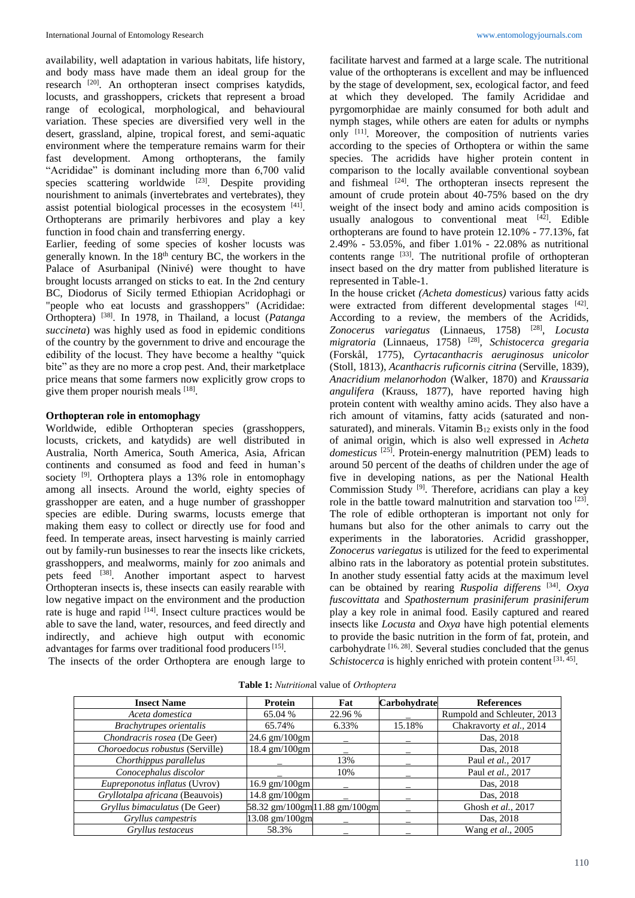availability, well adaptation in various habitats, life history, and body mass have made them an ideal group for the research [20]. An orthopteran insect comprises katydids, locusts, and grasshoppers, crickets that represent a broad range of ecological, morphological, and behavioural variation. These species are diversified very well in the desert, grassland, alpine, tropical forest, and semi-aquatic environment where the temperature remains warm for their fast development. Among orthopterans, the family "Acrididae" is dominant including more than 6,700 valid species scattering worldwide  $[23]$ . Despite providing nourishment to animals (invertebrates and vertebrates), they assist potential biological processes in the ecosystem  $[41]$ . Orthopterans are primarily herbivores and play a key function in food chain and transferring energy.

Earlier, feeding of some species of kosher locusts was generally known. In the 18<sup>th</sup> century BC, the workers in the Palace of Asurbanipal (Ninivé) were thought to have brought locusts arranged on sticks to eat. In the 2nd century BC, Diodorus of Sicily termed Ethiopian Acridophagi or "people who eat locusts and grasshoppers" (Acrididae: Orthoptera) [38]. In 1978, in Thailand, a locust (*Patanga succineta*) was highly used as food in epidemic conditions of the country by the government to drive and encourage the edibility of the locust. They have become a healthy "quick bite" as they are no more a crop pest. And, their marketplace price means that some farmers now explicitly grow crops to give them proper nourish meals  $^{[18]}$ .

### **Orthopteran role in entomophagy**

Worldwide, edible Orthopteran species (grasshoppers, locusts, crickets, and katydids) are well distributed in Australia, North America, South America, Asia, African continents and consumed as food and feed in human's society <sup>[9]</sup>. Orthoptera plays a 13% role in entomophagy among all insects. Around the world, eighty species of grasshopper are eaten, and a huge number of grasshopper species are edible. During swarms, locusts emerge that making them easy to collect or directly use for food and feed. In temperate areas, insect harvesting is mainly carried out by family-run businesses to rear the insects like crickets, grasshoppers, and mealworms, mainly for zoo animals and pets feed [38]. Another important aspect to harvest Orthopteran insects is, these insects can easily rearable with low negative impact on the environment and the production rate is huge and rapid [14]. Insect culture practices would be able to save the land, water, resources, and feed directly and indirectly, and achieve high output with economic advantages for farms over traditional food producers<sup>[15]</sup>.

The insects of the order Orthoptera are enough large to

facilitate harvest and farmed at a large scale. The nutritional value of the orthopterans is excellent and may be influenced by the stage of development, sex, ecological factor, and feed at which they developed. The family Acrididae and pyrgomorphidae are mainly consumed for both adult and nymph stages, while others are eaten for adults or nymphs only [11]. Moreover, the composition of nutrients varies according to the species of Orthoptera or within the same species. The acridids have higher protein content in comparison to the locally available conventional soybean and fishmeal  $[24]$ . The orthopteran insects represent the amount of crude protein about 40-75% based on the dry weight of the insect body and amino acids composition is usually analogous to conventional meat [42]. Edible orthopterans are found to have protein 12.10% - 77.13%, fat 2.49% - 53.05%, and fiber 1.01% - 22.08% as nutritional contents range [33]. The nutritional profile of orthopteran insect based on the dry matter from published literature is represented in Table-1.

In the house cricket *(Acheta domesticus)* various fatty acids were extracted from different developmental stages [42]. According to a review, the members of the Acridids, Zonocerus variegatus (Linnaeus, 1758) <sup>[28]</sup>, Locusta *migratoria* (Linnaeus, 1758) [28] , *Schistocerca gregaria* (Forskål, 1775), *Cyrtacanthacris aeruginosus unicolor* (Stoll, 1813), *Acanthacris ruficornis citrina* (Serville, 1839), *Anacridium melanorhodon* (Walker, 1870) and *Kraussaria angulifera* (Krauss, 1877), have reported having high protein content with wealthy amino acids. They also have a rich amount of vitamins, fatty acids (saturated and nonsaturated), and minerals. Vitamin  $B_{12}$  exists only in the food of animal origin, which is also well expressed in *Acheta*  domesticus<sup>[25]</sup>. Protein-energy malnutrition (PEM) leads to around 50 percent of the deaths of children under the age of five in developing nations, as per the National Health Commission Study [9]. Therefore, acridians can play a key role in the battle toward malnutrition and starvation too<sup>[23]</sup>. The role of edible orthopteran is important not only for humans but also for the other animals to carry out the experiments in the laboratories. Acridid grasshopper, *Zonocerus variegatus* is utilized for the feed to experimental albino rats in the laboratory as potential protein substitutes. In another study essential fatty acids at the maximum level can be obtained by rearing *Ruspolia differens* [34] . *Oxya fuscovittata* and *Spathosternum prasiniferum prasiniferum* play a key role in animal food. Easily captured and reared insects like *Locusta* and *Oxya* have high potential elements to provide the basic nutrition in the form of fat, protein, and carbohydrate  $[16, 28]$ . Several studies concluded that the genus Schistocerca is highly enriched with protein content [31, 45].

**Table 1:** *Nutrition*al value of *Orthoptera*

| <b>Insect Name</b>                   | Protein                         | Fat     | Carbohydrate | <b>References</b>           |
|--------------------------------------|---------------------------------|---------|--------------|-----------------------------|
| Aceta domestica                      | 65.04 %                         | 22.96 % |              | Rumpold and Schleuter, 2013 |
| Brachytrupes orientalis              | 65.74%                          | 6.33%   | 15.18%       | Chakravorty et al., 2014    |
| Chondracris rosea (De Geer)          | $24.6$ gm/ $100$ gm             |         |              | Das, 2018                   |
| Choroedocus robustus (Serville)      | $18.4 \text{ gm}/100 \text{gm}$ |         |              | Das, 2018                   |
| Chorthippus parallelus               |                                 | 13%     |              | Paul et al., 2017           |
| Conocephalus discolor                |                                 | 10%     |              | Paul et al., 2017           |
| <i>Eupreponotus inflatus</i> (Uvrov) | $16.9$ gm/ $100$ gm             |         |              | Das, 2018                   |
| Gryllotalpa africana (Beauvois)      | $14.8$ gm/ $100$ gm             |         |              | Das, 2018                   |
| Gryllus bimaculatus (De Geer)        | 58.32 gm/100gm 11.88 gm/100gm   |         |              | Ghosh et al., 2017          |
| Gryllus campestris                   | 13.08 gm/100gm                  |         |              | Das, 2018                   |
| Gryllus testaceus                    | 58.3%                           |         |              | Wang et al., 2005           |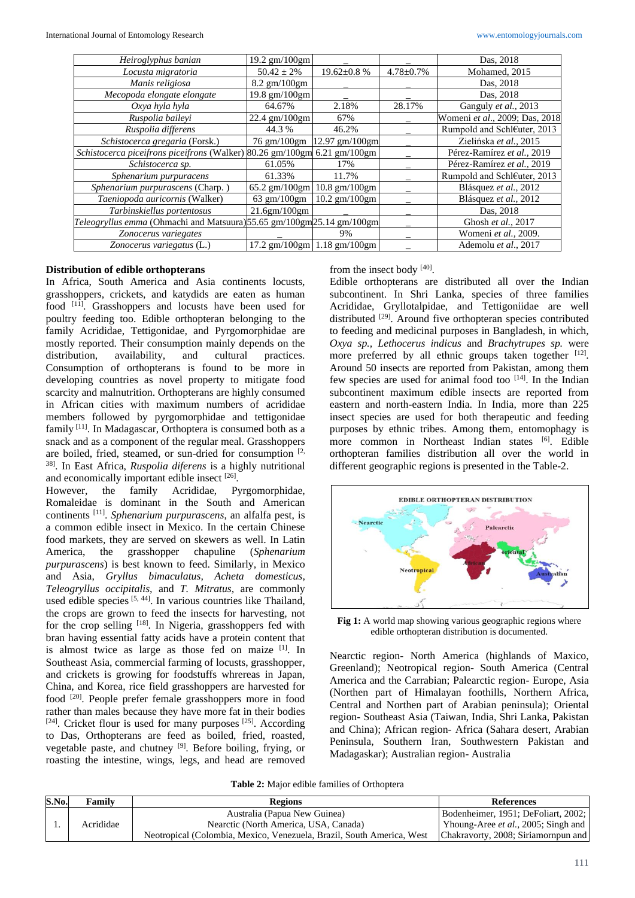| Heiroglyphus banian                                                    | 19.2 $gm/100gm$              |                                         |                  | Das, 2018                      |
|------------------------------------------------------------------------|------------------------------|-----------------------------------------|------------------|--------------------------------|
| Locusta migratoria                                                     | $50.42 \pm 2\%$              | $19.62 \pm 0.8$ %                       | $4.78 \pm 0.7\%$ | Mohamed, 2015                  |
| Manis religiosa                                                        | $8.2$ gm/100gm               |                                         |                  | Das, 2018                      |
| Mecopoda elongate elongate                                             | $19.8$ gm/ $100$ gm          |                                         |                  | Das, 2018                      |
| Oxya hyla hyla                                                         | 64.67%                       | 2.18%                                   | 28.17%           | Ganguly et al., 2013           |
| Ruspolia baileyi                                                       | $22.4$ gm/100gm              | 67%                                     |                  | Womeni et al., 2009; Das, 2018 |
| Ruspolia differens                                                     | 44.3 %                       | 46.2%                                   |                  | Rumpold and Schl€uter, 2013    |
| Schistocerca gregaria (Forsk.)                                         | 76 gm/100gm                  | 12.97 gm/100gm                          |                  | Zielińska et al., 2015         |
| Schistocerca piceifrons piceifrons (Walker)                            | 80.26 gm/100gm 6.21 gm/100gm |                                         |                  | Pérez-Ramírez et al., 2019     |
| Schistocerca sp.                                                       | 61.05%                       | 17%                                     |                  | Pérez-Ramírez et al., 2019     |
| Sphenarium purpuracens                                                 | 61.33%                       | 11.7%                                   |                  | Rumpold and Schl€uter, 2013    |
| Sphenarium purpurascens (Charp.)                                       | 65.2 gm/100gm                | $10.8$ gm/ $100$ gm                     |                  | Blásquez et al., 2012          |
| Taeniopoda auricornis (Walker)                                         | $63$ gm/ $100$ gm            | $10.2 \text{ gm}/100 \text{gm}$         |                  | Blásquez et al., 2012          |
| Tarbinskiellus portentosus                                             | $21.6$ gm/ $100$ gm          |                                         |                  | Das, 2018                      |
| Teleogryllus emma (Ohmachi and Matsuura) 55.65 gm/100gm 25.14 gm/100gm |                              |                                         |                  | Ghosh et al., 2017             |
| Zonocerus variegates                                                   |                              | 9%                                      |                  | Womeni et al., 2009.           |
| Zonocerus variegatus (L.)                                              |                              | $17.2$ gm/ $100$ gm   1.18 gm/ $100$ gm |                  | Ademolu et al., 2017           |

### **Distribution of edible orthopterans**

In Africa, South America and Asia continents locusts, grasshoppers, crickets, and katydids are eaten as human food [11]. Grasshoppers and locusts have been used for poultry feeding too. Edible orthopteran belonging to the family Acrididae, Tettigonidae, and Pyrgomorphidae are mostly reported. Their consumption mainly depends on the distribution, availability, and cultural practices. Consumption of orthopterans is found to be more in developing countries as novel property to mitigate food scarcity and malnutrition. Orthopterans are highly consumed in African cities with maximum numbers of acrididae members followed by pyrgomorphidae and tettigonidae family <sup>[11]</sup>. In Madagascar, Orthoptera is consumed both as a snack and as a component of the regular meal. Grasshoppers are boiled, fried, steamed, or sun-dried for consumption  $[2, 1]$ 38]. In East Africa, *Ruspolia diferens* is a highly nutritional and economically important edible insect [26].

However, the family Acrididae, Pyrgomorphidae, Romaleidae is dominant in the South and American continents [11] . *Sphenarium purpurascens*, an alfalfa pest, is a common edible insect in Mexico. In the certain Chinese food markets, they are served on skewers as well. In Latin America, the grasshopper chapuline (*Sphenarium purpurascens*) is best known to feed. Similarly, in Mexico and Asia, *Gryllus bimaculatus, Acheta domesticus*, *Teleogryllus occipitalis,* and *T. Mitratus,* are commonly used edible species [5, 44]. In various countries like Thailand, the crops are grown to feed the insects for harvesting, not for the crop selling [18]. In Nigeria, grasshoppers fed with bran having essential fatty acids have a protein content that is almost twice as large as those fed on maize  $[1]$ . In Southeast Asia, commercial farming of locusts, grasshopper, and crickets is growing for foodstuffs whrereas in Japan, China, and Korea, rice field grasshoppers are harvested for food [20]. People prefer female grasshoppers more in food rather than males because they have more fat in their bodies [24]. Cricket flour is used for many purposes [25]. According to Das, Orthopterans are feed as boiled, fried, roasted, vegetable paste, and chutney [9]. Before boiling, frying, or roasting the intestine, wings, legs, and head are removed

from the insect body [40].

Edible orthopterans are distributed all over the Indian subcontinent. In Shri Lanka, species of three families Acrididae, Gryllotalpidae, and Tettigoniidae are well distributed <sup>[29]</sup>. Around five orthopteran species contributed to feeding and medicinal purposes in Bangladesh, in which, *Oxya sp., Lethocerus indicus* and *Brachytrupes sp.* were more preferred by all ethnic groups taken together [12]. Around 50 insects are reported from Pakistan, among them few species are used for animal food too  $[14]$ . In the Indian subcontinent maximum edible insects are reported from eastern and north-eastern India. In India, more than 225 insect species are used for both therapeutic and feeding purposes by ethnic tribes. Among them, entomophagy is more common in Northeast Indian states [6]. Edible orthopteran families distribution all over the world in different geographic regions is presented in the Table-2.



**Fig 1:** A world map showing various geographic regions where edible orthopteran distribution is documented.

Nearctic region- North America (highlands of Maxico, Greenland); Neotropical region- South America (Central America and the Carrabian; Palearctic region- Europe, Asia (Northen part of Himalayan foothills, Northern Africa, Central and Northen part of Arabian peninsula); Oriental region- Southeast Asia (Taiwan, India, Shri Lanka, Pakistan and China); African region- Africa (Sahara desert, Arabian Peninsula, Southern Iran, Southwestern Pakistan and Madagaskar); Australian region- Australia

| Table 2: Major edible families of Orthoptera |  |  |
|----------------------------------------------|--|--|
|----------------------------------------------|--|--|

| S.No. | Family    | <b>Regions</b>                                                        | <b>References</b>                           |
|-------|-----------|-----------------------------------------------------------------------|---------------------------------------------|
|       |           | Australia (Papua New Guinea)                                          | Bodenheimer, 1951; DeFoliart, 2002;         |
|       | Acrididae | Nearctic (North America, USA, Canada)                                 | Yhoung-Aree <i>et al.</i> , 2005; Singh and |
|       |           | Neotropical (Colombia, Mexico, Venezuela, Brazil, South America, West | Chakravorty, 2008; Siriamornpun and         |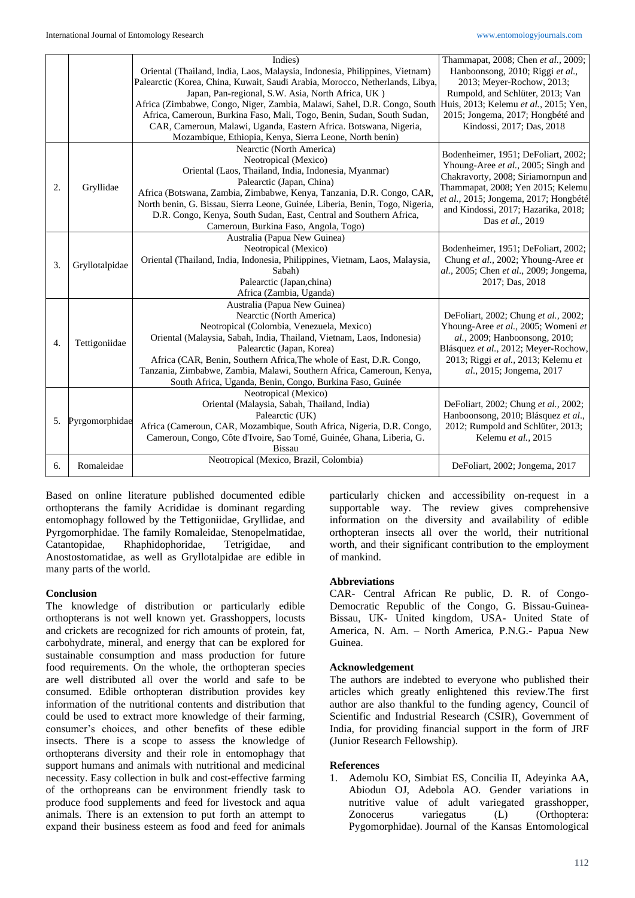|    |                   | Indies)                                                                                                        | Thammapat, 2008; Chen et al., 2009;    |
|----|-------------------|----------------------------------------------------------------------------------------------------------------|----------------------------------------|
|    |                   | Oriental (Thailand, India, Laos, Malaysia, Indonesia, Philippines, Vietnam)                                    | Hanboonsong, 2010; Riggi et al.,       |
|    |                   | Palearctic (Korea, China, Kuwait, Saudi Arabia, Morocco, Netherlands, Libya,                                   | 2013; Meyer-Rochow, 2013;              |
|    |                   | Japan, Pan-regional, S.W. Asia, North Africa, UK)                                                              | Rumpold, and Schlüter, 2013; Van       |
|    |                   | Africa (Zimbabwe, Congo, Niger, Zambia, Malawi, Sahel, D.R. Congo, South Huis, 2013; Kelemu et al., 2015; Yen, |                                        |
|    |                   | Africa, Cameroun, Burkina Faso, Mali, Togo, Benin, Sudan, South Sudan,                                         | 2015; Jongema, 2017; Hongbété and      |
|    |                   | CAR, Cameroun, Malawi, Uganda, Eastern Africa. Botswana, Nigeria,                                              | Kindossi, 2017; Das, 2018              |
|    |                   | Mozambique, Ethiopia, Kenya, Sierra Leone, North benin)                                                        |                                        |
|    |                   | Nearctic (North America)                                                                                       | Bodenheimer, 1951; DeFoliart, 2002;    |
|    |                   | Neotropical (Mexico)                                                                                           | Yhoung-Aree et al., 2005; Singh and    |
|    |                   | Oriental (Laos, Thailand, India, Indonesia, Myanmar)                                                           | Chakravorty, 2008; Siriamornpun and    |
| 2. | Gryllidae         | Palearctic (Japan, China)                                                                                      | Thammapat, 2008; Yen 2015; Kelemu      |
|    |                   | Africa (Botswana, Zambia, Zimbabwe, Kenya, Tanzania, D.R. Congo, CAR,                                          | et al., 2015; Jongema, 2017; Hongbété  |
|    |                   | North benin, G. Bissau, Sierra Leone, Guinée, Liberia, Benin, Togo, Nigeria,                                   | and Kindossi, 2017; Hazarika, 2018;    |
|    |                   | D.R. Congo, Kenya, South Sudan, East, Central and Southern Africa,                                             | Das et al., 2019                       |
|    |                   | Cameroun, Burkina Faso, Angola, Togo)                                                                          |                                        |
|    | Gryllotalpidae    | Australia (Papua New Guinea)                                                                                   |                                        |
|    |                   | Neotropical (Mexico)                                                                                           | Bodenheimer, 1951; DeFoliart, 2002;    |
| 3. |                   | Oriental (Thailand, India, Indonesia, Philippines, Vietnam, Laos, Malaysia,                                    | Chung et al., 2002; Yhoung-Aree et     |
|    |                   | Sabah)                                                                                                         | al., 2005; Chen et al., 2009; Jongema, |
|    |                   | Palearctic (Japan,china)                                                                                       | 2017; Das, 2018                        |
|    |                   | Africa (Zambia, Uganda)                                                                                        |                                        |
|    |                   | Australia (Papua New Guinea)                                                                                   |                                        |
|    |                   | Nearctic (North America)                                                                                       | DeFoliart, 2002; Chung et al., 2002;   |
| 4. | Tettigoniidae     | Neotropical (Colombia, Venezuela, Mexico)                                                                      | Yhoung-Aree et al., 2005; Womeni et    |
|    |                   | Oriental (Malaysia, Sabah, India, Thailand, Vietnam, Laos, Indonesia)                                          | al., 2009; Hanboonsong, 2010;          |
|    |                   | Palearctic (Japan, Korea)                                                                                      | Blásquez et al., 2012; Meyer-Rochow,   |
|    |                   | Africa (CAR, Benin, Southern Africa, The whole of East, D.R. Congo,                                            | 2013; Riggi et al., 2013; Kelemu et    |
|    |                   | Tanzania, Zimbabwe, Zambia, Malawi, Southern Africa, Cameroun, Kenya,                                          | al., 2015; Jongema, 2017               |
|    |                   | South Africa, Uganda, Benin, Congo, Burkina Faso, Guinée                                                       |                                        |
|    | 5. Pyrgomorphidae | Neotropical (Mexico)                                                                                           |                                        |
|    |                   | Oriental (Malaysia, Sabah, Thailand, India)                                                                    | DeFoliart, 2002; Chung et al., 2002;   |
|    |                   | Palearctic (UK)                                                                                                | Hanboonsong, 2010; Blásquez et al.,    |
|    |                   | Africa (Cameroun, CAR, Mozambique, South Africa, Nigeria, D.R. Congo,                                          | 2012; Rumpold and Schlüter, 2013;      |
|    |                   | Cameroun, Congo, Côte d'Ivoire, Sao Tomé, Guinée, Ghana, Liberia, G.                                           | Kelemu et al., 2015                    |
|    |                   | <b>Bissau</b>                                                                                                  |                                        |
| 6. | Romaleidae        | Neotropical (Mexico, Brazil, Colombia)                                                                         | DeFoliart, 2002; Jongema, 2017         |
|    |                   |                                                                                                                |                                        |

Based on online literature published documented edible orthopterans the family Acrididae is dominant regarding entomophagy followed by the Tettigoniidae, Gryllidae, and Pyrgomorphidae. The family Romaleidae, Stenopelmatidae, Catantopidae, Rhaphidophoridae, Tetrigidae, and Anostostomatidae, as well as Gryllotalpidae are edible in many parts of the world.

### **Conclusion**

The knowledge of distribution or particularly edible orthopterans is not well known yet. Grasshoppers, locusts and crickets are recognized for rich amounts of protein, fat, carbohydrate, mineral, and energy that can be explored for sustainable consumption and mass production for future food requirements. On the whole, the orthopteran species are well distributed all over the world and safe to be consumed. Edible orthopteran distribution provides key information of the nutritional contents and distribution that could be used to extract more knowledge of their farming, consumer's choices, and other benefits of these edible insects. There is a scope to assess the knowledge of orthopterans diversity and their role in entomophagy that support humans and animals with nutritional and medicinal necessity. Easy collection in bulk and cost-effective farming of the orthopreans can be environment friendly task to produce food supplements and feed for livestock and aqua animals. There is an extension to put forth an attempt to expand their business esteem as food and feed for animals

particularly chicken and accessibility on-request in a supportable way. The review gives comprehensive information on the diversity and availability of edible orthopteran insects all over the world, their nutritional worth, and their significant contribution to the employment of mankind.

### **Abbreviations**

CAR- Central African Re public, D. R. of Congo-Democratic Republic of the Congo, G. Bissau-Guinea-Bissau, UK- United kingdom, USA- United State of America, N. Am. – North America, P.N.G.- Papua New Guinea.

### **Acknowledgement**

The authors are indebted to everyone who published their articles which greatly enlightened this review.The first author are also thankful to the funding agency, Council of Scientific and Industrial Research (CSIR), Government of India, for providing financial support in the form of JRF (Junior Research Fellowship).

#### **References**

1. Ademolu KO, Simbiat ES, Concilia II, Adeyinka AA, Abiodun OJ, Adebola AO. Gender variations in nutritive value of adult variegated grasshopper,<br>Zonocerus variegatus (L) (Orthoptera: Zonocerus variegatus (L) (Orthoptera: Pygomorphidae). Journal of the Kansas Entomological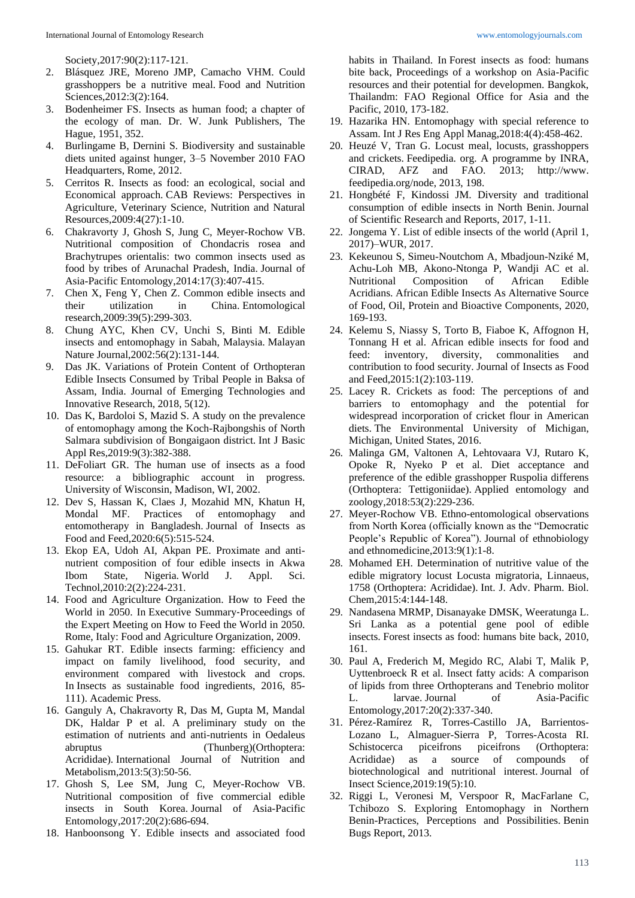Society,2017:90(2):117-121.

- 2. Blásquez JRE, Moreno JMP, Camacho VHM. Could grasshoppers be a nutritive meal. Food and Nutrition Sciences,2012:3(2):164.
- 3. Bodenheimer FS. Insects as human food; a chapter of the ecology of man. Dr. W. Junk Publishers, The Hague, 1951, 352.
- 4. Burlingame B, Dernini S. Biodiversity and sustainable diets united against hunger, 3–5 November 2010 FAO Headquarters, Rome, 2012.
- 5. Cerritos R. Insects as food: an ecological, social and Economical approach. CAB Reviews: Perspectives in Agriculture, Veterinary Science, Nutrition and Natural Resources,2009:4(27):1-10.
- 6. Chakravorty J, Ghosh S, Jung C, Meyer-Rochow VB. Nutritional composition of Chondacris rosea and Brachytrupes orientalis: two common insects used as food by tribes of Arunachal Pradesh, India. Journal of Asia-Pacific Entomology,2014:17(3):407-415.
- 7. Chen X, Feng Y, Chen Z. Common edible insects and their utilization in China. Entomological research,2009:39(5):299-303.
- 8. Chung AYC, Khen CV, Unchi S, Binti M. Edible insects and entomophagy in Sabah, Malaysia. Malayan Nature Journal,2002:56(2):131-144.
- 9. Das JK. Variations of Protein Content of Orthopteran Edible Insects Consumed by Tribal People in Baksa of Assam, India. Journal of Emerging Technologies and Innovative Research, 2018, 5(12).
- 10. Das K, Bardoloi S, Mazid S. A study on the prevalence of entomophagy among the Koch-Rajbongshis of North Salmara subdivision of Bongaigaon district. Int J Basic Appl Res,2019:9(3):382-388.
- 11. DeFoliart GR. The human use of insects as a food resource: a bibliographic account in progress. University of Wisconsin, Madison, WI, 2002.
- 12. Dev S, Hassan K, Claes J, Mozahid MN, Khatun H, Mondal MF. Practices of entomophagy and entomotherapy in Bangladesh. Journal of Insects as Food and Feed,2020:6(5):515-524.
- 13. Ekop EA, Udoh AI, Akpan PE. Proximate and antinutrient composition of four edible insects in Akwa Ibom State, Nigeria. World J. Appl. Sci. Technol,2010:2(2):224-231.
- 14. Food and Agriculture Organization. How to Feed the World in 2050. In Executive Summary‐Proceedings of the Expert Meeting on How to Feed the World in 2050. Rome, Italy: Food and Agriculture Organization, 2009.
- 15. Gahukar RT. Edible insects farming: efficiency and impact on family livelihood, food security, and environment compared with livestock and crops. In Insects as sustainable food ingredients, 2016, 85- 111). Academic Press.
- 16. Ganguly A, Chakravorty R, Das M, Gupta M, Mandal DK, Haldar P et al. A preliminary study on the estimation of nutrients and anti-nutrients in Oedaleus abruptus (Thunberg)(Orthoptera: Acrididae). International Journal of Nutrition and Metabolism,2013:5(3):50-56.
- 17. Ghosh S, Lee SM, Jung C, Meyer-Rochow VB. Nutritional composition of five commercial edible insects in South Korea. Journal of Asia-Pacific Entomology,2017:20(2):686-694.
- 18. Hanboonsong Y. Edible insects and associated food

habits in Thailand. In Forest insects as food: humans bite back, Proceedings of a workshop on Asia-Pacific resources and their potential for developmen. Bangkok, Thailandm: FAO Regional Office for Asia and the Pacific, 2010, 173-182.

- 19. Hazarika HN. Entomophagy with special reference to Assam. Int J Res Eng Appl Manag,2018:4(4):458-462.
- 20. Heuzé V, Tran G. Locust meal, locusts, grasshoppers and crickets. Feedipedia. org. A programme by INRA, CIRAD, AFZ and FAO. 2013; http://www. feedipedia.org/node, 2013, 198.
- 21. Hongbété F, Kindossi JM. Diversity and traditional consumption of edible insects in North Benin. Journal of Scientific Research and Reports, 2017, 1-11.
- 22. Jongema Y. List of edible insects of the world (April 1, 2017)–WUR, 2017.
- 23. Kekeunou S, Simeu-Noutchom A, Mbadjoun-Nziké M, Achu-Loh MB, Akono-Ntonga P, Wandji AC et al. Nutritional Composition of African Edible Acridians. African Edible Insects As Alternative Source of Food, Oil, Protein and Bioactive Components, 2020, 169-193.
- 24. Kelemu S, Niassy S, Torto B, Fiaboe K, Affognon H, Tonnang H et al. African edible insects for food and feed: inventory, diversity, commonalities and contribution to food security. Journal of Insects as Food and Feed,2015:1(2):103-119.
- 25. Lacey R. Crickets as food: The perceptions of and barriers to entomophagy and the potential for widespread incorporation of cricket flour in American diets. The Environmental University of Michigan, Michigan, United States, 2016.
- 26. Malinga GM, Valtonen A, Lehtovaara VJ, Rutaro K, Opoke R, Nyeko P et al. Diet acceptance and preference of the edible grasshopper Ruspolia differens (Orthoptera: Tettigoniidae). Applied entomology and zoology,2018:53(2):229-236.
- 27. Meyer-Rochow VB. Ethno-entomological observations from North Korea (officially known as the "Democratic People's Republic of Korea"). Journal of ethnobiology and ethnomedicine,2013:9(1):1-8.
- 28. Mohamed EH. Determination of nutritive value of the edible migratory locust Locusta migratoria, Linnaeus, 1758 (Orthoptera: Acrididae). Int. J. Adv. Pharm. Biol. Chem,2015:4:144-148.
- 29. Nandasena MRMP, Disanayake DMSK, Weeratunga L. Sri Lanka as a potential gene pool of edible insects. Forest insects as food: humans bite back, 2010, 161.
- 30. Paul A, Frederich M, Megido RC, Alabi T, Malik P, Uyttenbroeck R et al. Insect fatty acids: A comparison of lipids from three Orthopterans and Tenebrio molitor L. larvae. Journal of Asia-Pacific Entomology,2017:20(2):337-340.
- 31. Pérez-Ramírez R, Torres-Castillo JA, Barrientos-Lozano L, Almaguer-Sierra P, Torres-Acosta RI. Schistocerca piceifrons piceifrons (Orthoptera: Acrididae) as a source of compounds of biotechnological and nutritional interest. Journal of Insect Science,2019:19(5):10.
- 32. Riggi L, Veronesi M, Verspoor R, MacFarlane C, Tchibozo S. Exploring Entomophagy in Northern Benin-Practices, Perceptions and Possibilities. Benin Bugs Report, 2013.